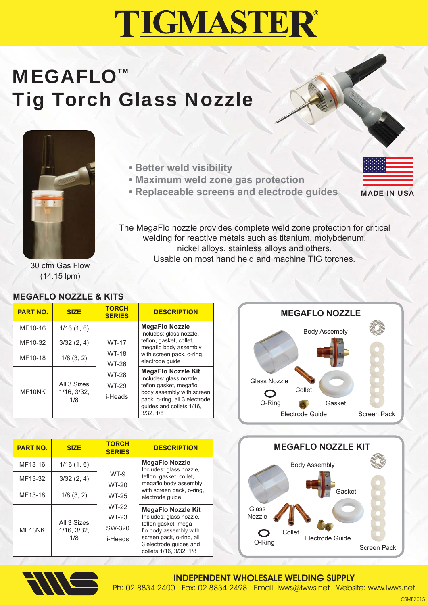## **TIGMASTER®**

## **MEGAFLO™** Tig Torch Glass Nozzle



- **Better weld visibility**
- **Maximum weld zone gas protection**
- **Replaceable screens and electrode guides**



The MegaFlo nozzle provides complete weld zone protection for critical welding for reactive metals such as titanium, molybdenum, nickel alloys, stainless alloys and others. Usable on most hand held and machine TIG torches.

30 cfm Gas Flow (14.15 lpm)

#### **MEGAFLO NOZZLE & KITS**

| <b>PART NO.</b> | <b>SIZE</b>                       | <b>TORCH</b><br><b>SERIES</b>                                             | <b>DESCRIPTION</b>                                                                                                                                                                    |
|-----------------|-----------------------------------|---------------------------------------------------------------------------|---------------------------------------------------------------------------------------------------------------------------------------------------------------------------------------|
| MF10-16         | 1/16(1, 6)                        | <b>WT-17</b><br><b>WT-18</b><br>WT-26<br><b>WT-28</b><br>WT-29<br>i-Heads | <b>MegaFlo Nozzle</b><br>Includes: glass nozzle,<br>teflon, gasket, collet,<br>megaflo body assembly<br>with screen pack, o-ring,<br>electrode quide                                  |
| MF10-32         | 3/32(2, 4)                        |                                                                           |                                                                                                                                                                                       |
| MF10-18         | $1/8$ $(3, 2)$                    |                                                                           |                                                                                                                                                                                       |
| MF10NK          | All 3 Sizes<br>1/16, 3/32,<br>1/8 |                                                                           | <b>MegaFlo Nozzle Kit</b><br>Includes: glass nozzle,<br>teflon gasket, megaflo<br>body assembly with screen<br>pack, o-ring, all 3 electrode<br>quides and collets 1/16.<br>3/32, 1/8 |



| <b>PART NO.</b>              | <b>SIZE</b>       | <b>TORCH</b><br><b>SERIES</b> | <b>DESCRIPTION</b>                                                                                                              |  | <b>MEGAFLO NOZZLE KIT</b>                          |
|------------------------------|-------------------|-------------------------------|---------------------------------------------------------------------------------------------------------------------------------|--|----------------------------------------------------|
| MF13-16                      | 1/16(1, 6)        |                               | <b>MegaFlo Nozzle</b><br>Includes: glass nozzle,                                                                                |  | <b>Body Assembly</b>                               |
| MF13-32                      | 3/32(2, 4)        | WT-9<br><b>WT-20</b>          | teflon, gasket, collet,<br>megaflo body assembly                                                                                |  |                                                    |
| MF13-18                      | $1/8$ $(3, 2)$    | <b>WT-25</b>                  | with screen pack, o-ring,<br>electrode quide                                                                                    |  | Gasket<br>Glass<br>Nozzle                          |
| All 3 Sizes<br>MF13NK<br>1/8 |                   | <b>WT-22</b><br><b>WT-23</b>  | <b>MegaFlo Nozzle Kit</b><br>Includes: glass nozzle,                                                                            |  |                                                    |
|                              | $1/16$ , $3/32$ , | SW-320<br>i-Heads             | teflon gasket, mega-<br>flo body assembly with<br>screen pack, o-ring, all<br>3 electrode quides and<br>collets 1/16, 3/32, 1/8 |  | Collet<br>Electrode Guide<br>O-Ring<br>Screen Pack |



#### INDEPENDENT WHOLESALE WELDING SUPPLY Ph: 02 8834 2400 Fax: 02 8834 2498 Email: iwws@iwws.net Website: www.iwws.net

**CSMF201**